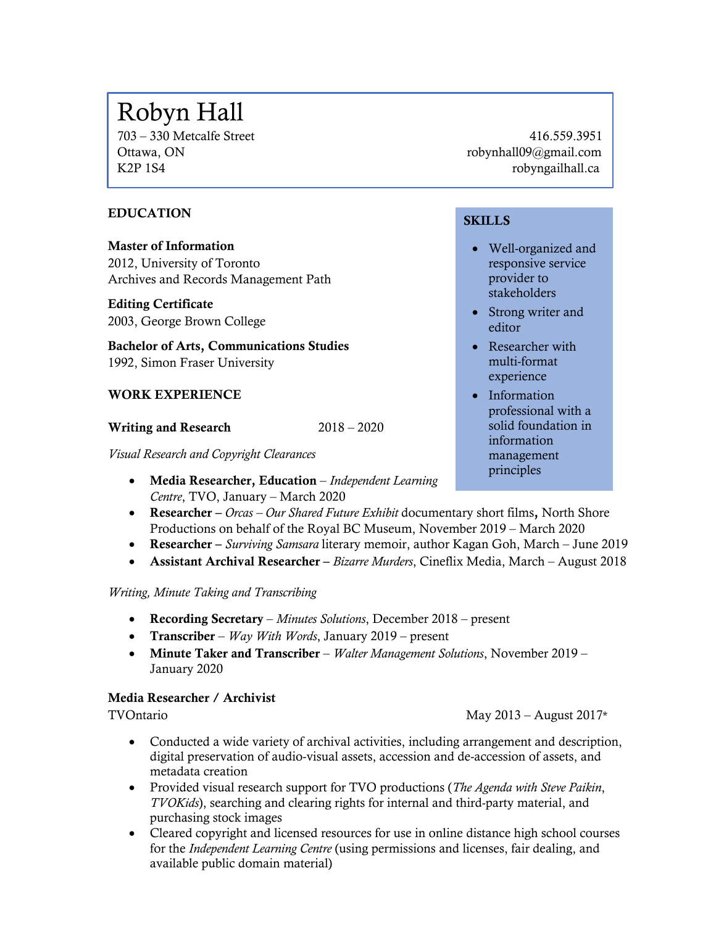# Robyn Hall

703 – 330 Metcalfe Street 416.559.3951 Ottawa, ON compared to the compared of the compared to the compared to the compared to the compared to the compared to the compared to the compared to the compared to the compared to the compared to the compared to the com K2P 1S4 robyngailhall.ca

# EDUCATION

Master of Information 2012, University of Toronto Archives and Records Management Path

# Editing Certificate

2003, George Brown College

Bachelor of Arts, Communications Studies 1992, Simon Fraser University

# WORK EXPERIENCE

Writing and Research 2018 – 2020

*Visual Research and Copyright Clearances*

- Media Researcher, Education *Independent Learning Centre*, TVO, January – March 2020
- Researcher *Orcas – Our Shared Future Exhibit* documentary short films, North Shore Productions on behalf of the Royal BC Museum, November 2019 – March 2020
- Researcher *Surviving Samsara* literary memoir, author Kagan Goh, March June 2019
- Assistant Archival Researcher *Bizarre Murders*, Cineflix Media, March August 2018

# *Writing, Minute Taking and Transcribing*

- Recording Secretary *Minutes Solutions*, December 2018 present
- Transcriber *Way With Words*, January 2019 present
- Minute Taker and Transcriber *Walter Management Solutions*, November 2019 January 2020

# Media Researcher / Archivist

TVOntario May 2013 – August 2017\*

- Conducted a wide variety of archival activities, including arrangement and description, digital preservation of audio-visual assets, accession and de-accession of assets, and metadata creation
- Provided visual research support for TVO productions (*The Agenda with Steve Paikin*, *TVOKids*), searching and clearing rights for internal and third-party material, and purchasing stock images
- Cleared copyright and licensed resources for use in online distance high school courses for the *Independent Learning Centre* (using permissions and licenses, fair dealing, and available public domain material)

# **SKILLS**

Ī

- Well-organized and responsive service provider to stakeholders
- Strong writer and editor
- Researcher with multi-format experience
- Information professional with a solid foundation in information management principles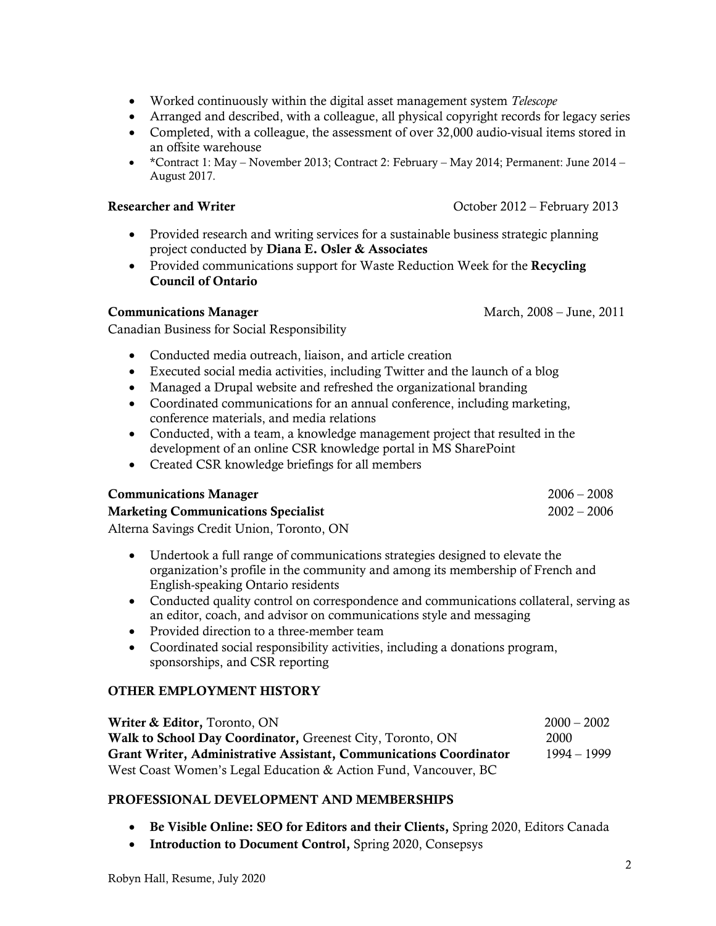- Worked continuously within the digital asset management system *Telescope*
- Arranged and described, with a colleague, all physical copyright records for legacy series
- Completed, with a colleague, the assessment of over 32,000 audio-visual items stored in an offsite warehouse
- \*Contract 1: May November 2013; Contract 2: February May 2014; Permanent: June 2014 August 2017.

#### Researcher and Writer Corollary 2013

- Provided research and writing services for a sustainable business strategic planning project conducted by Diana E. Osler & Associates
- Provided communications support for Waste Reduction Week for the Recycling Council of Ontario

# Communications Manager March, 2008 – June, 2011

Canadian Business for Social Responsibility

- Conducted media outreach, liaison, and article creation
- Executed social media activities, including Twitter and the launch of a blog
- Managed a Drupal website and refreshed the organizational branding
- Coordinated communications for an annual conference, including marketing, conference materials, and media relations
- Conducted, with a team, a knowledge management project that resulted in the development of an online CSR knowledge portal in MS SharePoint
- Created CSR knowledge briefings for all members

| <b>Communications Manager</b>              | $2006 - 2008$ |
|--------------------------------------------|---------------|
| <b>Marketing Communications Specialist</b> | $2002 - 2006$ |
| Alterna Savings Credit Union Toronto ON    |               |

Alterna Savings Credit Union, Toronto, ON

- Undertook a full range of communications strategies designed to elevate the organization's profile in the community and among its membership of French and English-speaking Ontario residents
- Conducted quality control on correspondence and communications collateral, serving as an editor, coach, and advisor on communications style and messaging
- Provided direction to a three-member team
- Coordinated social responsibility activities, including a donations program, sponsorships, and CSR reporting

# OTHER EMPLOYMENT HISTORY

| <b>Writer &amp; Editor, Toronto, ON</b>                            | $2000 - 2002$ |
|--------------------------------------------------------------------|---------------|
| Walk to School Day Coordinator, Greenest City, Toronto, ON         | 2000          |
| Grant Writer, Administrative Assistant, Communications Coordinator | 1994 – 1999   |
| West Coast Women's Legal Education & Action Fund, Vancouver, BC    |               |

# PROFESSIONAL DEVELOPMENT AND MEMBERSHIPS

- Be Visible Online: SEO for Editors and their Clients, Spring 2020, Editors Canada
- Introduction to Document Control, Spring 2020, Consepsys